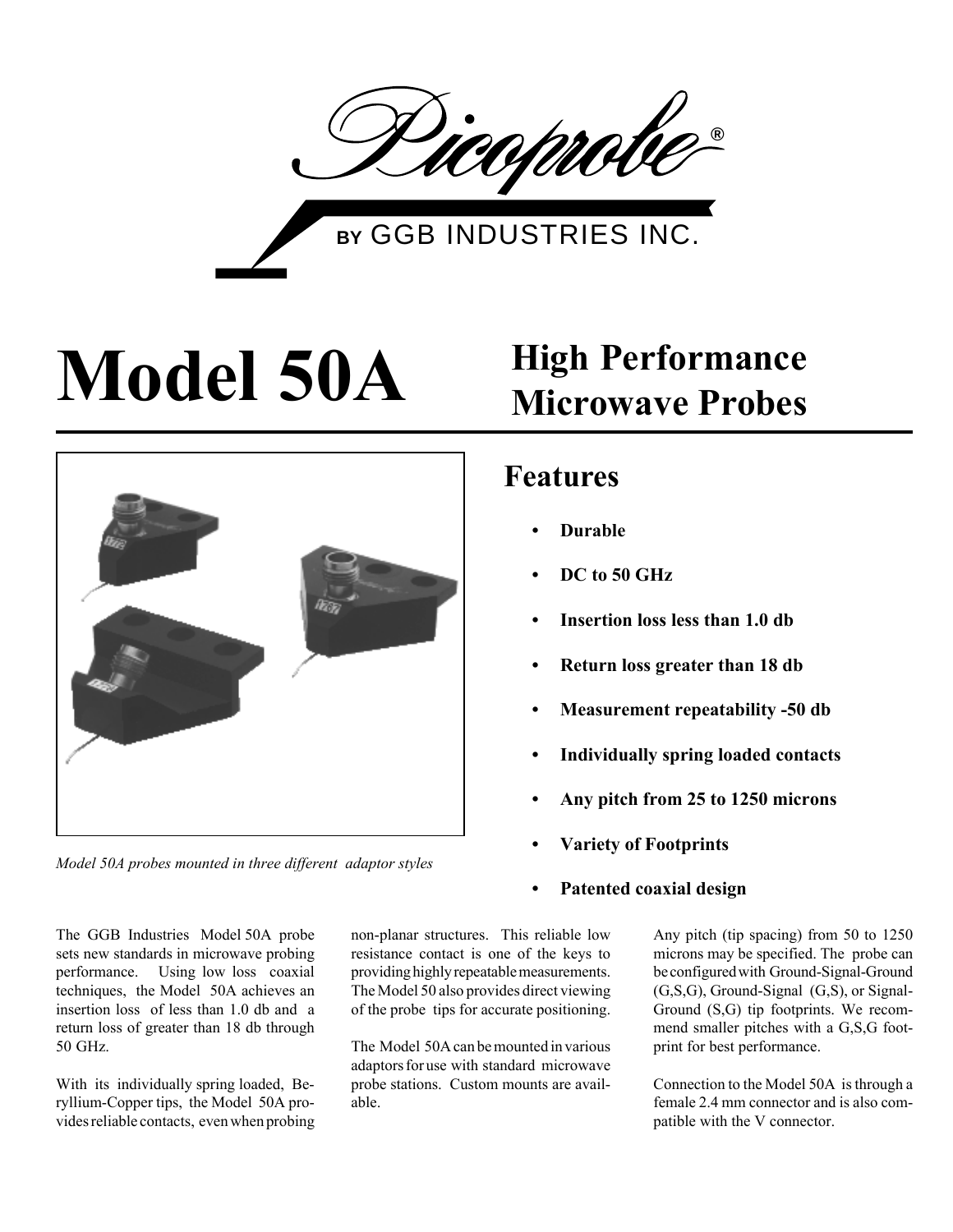

# **Model 50A High Performance**



*Model 50A probes mounted in three different adaptor styles*

The GGB Industries Model 50A probe sets new standards in microwave probing performance. Using low loss coaxial techniques, the Model 50A achieves an insertion loss of less than 1.0 db and a return loss of greater than 18 db through 50 GHz.

With its individually spring loaded, Beryllium-Copper tips, the Model 50A provides reliable contacts, even when probing

non-planar structures. This reliable low resistance contact is one of the keys to providing highly repeatable measurements. The Model 50 also provides direct viewing of the probe tips for accurate positioning.

The Model 50A can be mounted in various adaptors for use with standard microwave probe stations. Custom mounts are available.

# **Microwave Probes**

## **Features**

- **ï Durable**
- **ï DC to 50 GHz**
- **Insertion loss less than 1.0 db**
- **ï Return loss greater than 18 db**
- **Measurement repeatability -50 db**
- **ï Individually spring loaded contacts**
- **ï Any pitch from 25 to 1250 microns**
- **ï Variety of Footprints**
- **ï Patented coaxial design**

Any pitch (tip spacing) from 50 to 1250 microns may be specified. The probe can be configured with Ground-Signal-Ground (G,S,G), Ground-Signal (G,S), or Signal-Ground (S,G) tip footprints. We recommend smaller pitches with a G,S,G footprint for best performance.

Connection to the Model 50A is through a female 2.4 mm connector and is also compatible with the V connector.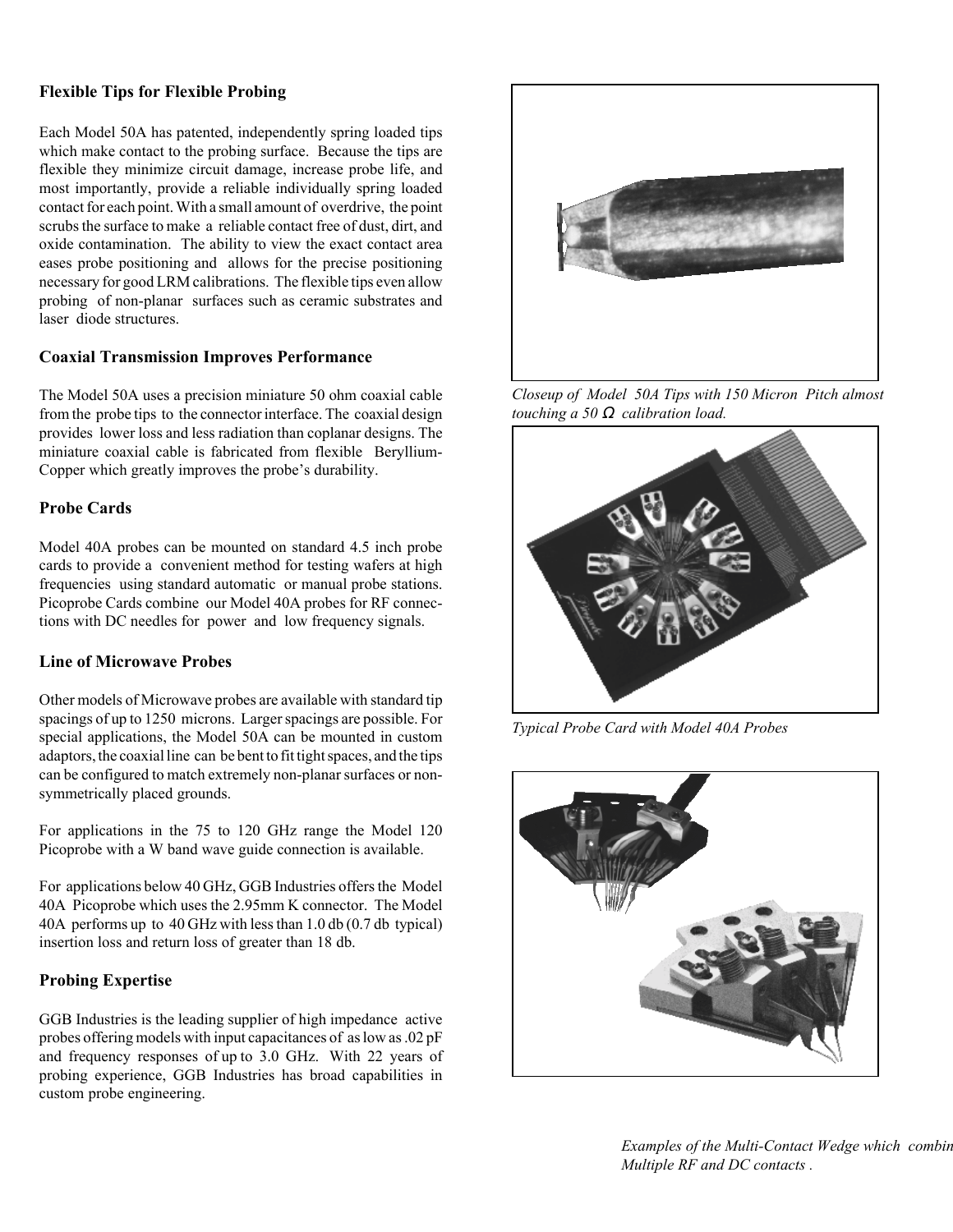#### **Flexible Tips for Flexible Probing**

Each Model 50A has patented, independently spring loaded tips which make contact to the probing surface. Because the tips are flexible they minimize circuit damage, increase probe life, and most importantly, provide a reliable individually spring loaded contact for each point. With a small amount of overdrive, the point scrubs the surface to make a reliable contact free of dust, dirt, and oxide contamination. The ability to view the exact contact area eases probe positioning and allows for the precise positioning necessary for good LRM calibrations. The flexible tips even allow probing of non-planar surfaces such as ceramic substrates and laser diode structures.

#### **Coaxial Transmission Improves Performance**

The Model 50A uses a precision miniature 50 ohm coaxial cable from the probe tips to the connector interface. The coaxial design provides lower loss and less radiation than coplanar designs. The miniature coaxial cable is fabricated from flexible Beryllium-Copper which greatly improves the probe's durability.

#### **Probe Cards**

Model 40A probes can be mounted on standard 4.5 inch probe cards to provide a convenient method for testing wafers at high frequencies using standard automatic or manual probe stations. Picoprobe Cards combine our Model 40A probes for RF connections with DC needles for power and low frequency signals.

#### **Line of Microwave Probes**

Other models of Microwave probes are available with standard tip spacings of up to 1250 microns. Larger spacings are possible. For special applications, the Model 50A can be mounted in custom adaptors, the coaxial line can be bent to fit tight spaces, and the tips can be configured to match extremely non-planar surfaces or nonsymmetrically placed grounds.

For applications in the 75 to 120 GHz range the Model 120 Picoprobe with a W band wave guide connection is available.

For applications below 40 GHz, GGB Industries offers the Model 40A Picoprobe which uses the 2.95mm K connector. The Model 40A performs up to 40 GHz with less than 1.0 db (0.7 db typical) insertion loss and return loss of greater than 18 db.

#### **Probing Expertise**

GGB Industries is the leading supplier of high impedance active probes offering models with input capacitances of as low as .02 pF and frequency responses of up to 3.0 GHz. With 22 years of probing experience, GGB Industries has broad capabilities in custom probe engineering.



*Closeup of Model 50A Tips with 150 Micron Pitch almost touching a 50* Ω *calibration load.*



*Typical Probe Card with Model 40A Probes*



*Examples of the Multi-Contact Wedge which combin Multiple RF and DC contacts .*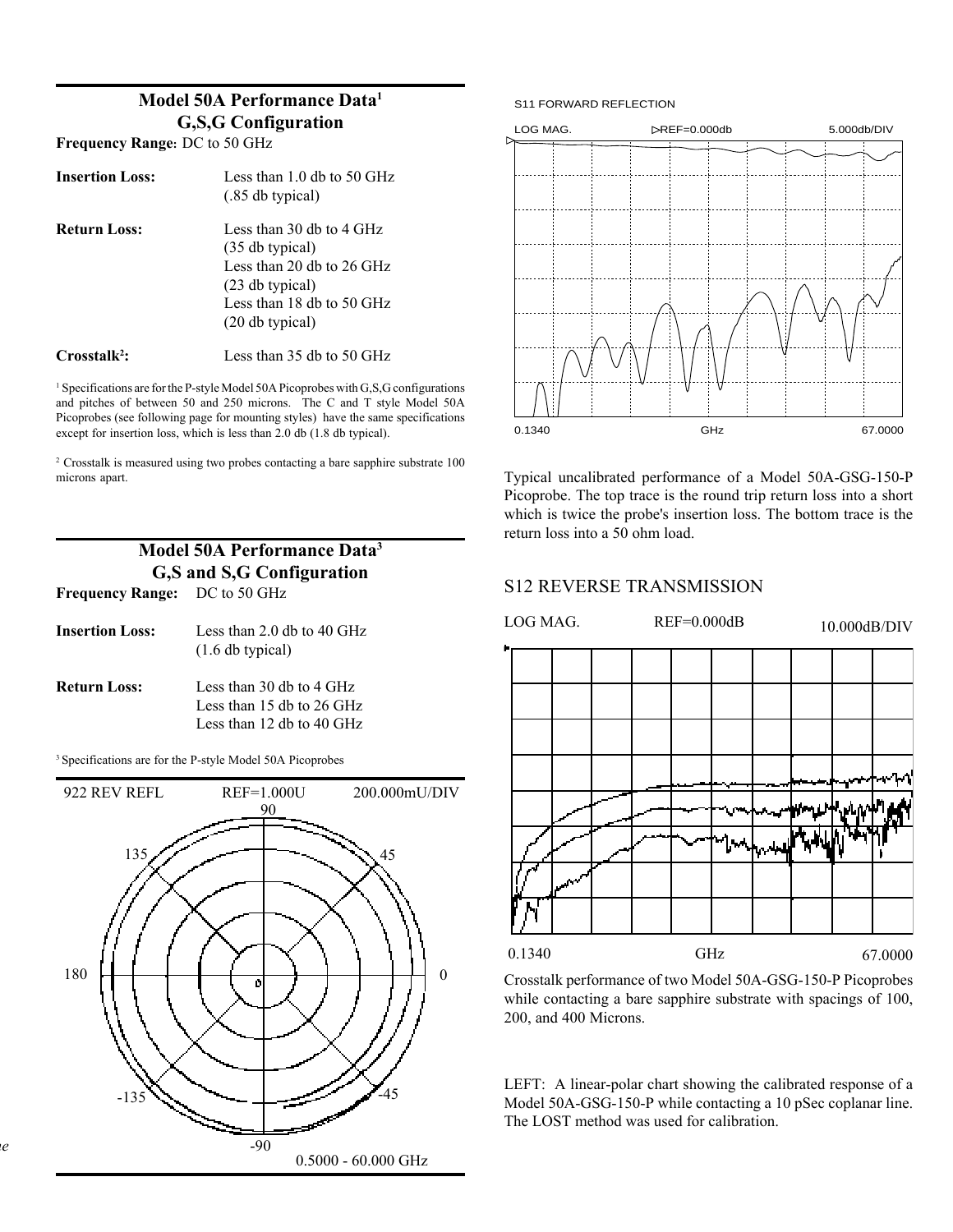### **Model 50A Performance Data1 G,S,G Configuration**

**Frequency Range:** DC to 50 GHz

| <b>Insertion Loss:</b>   | Less than $1.0$ db to $50$ GHz<br>$(.85$ db typical)                                                                                                      |
|--------------------------|-----------------------------------------------------------------------------------------------------------------------------------------------------------|
| <b>Return Loss:</b>      | Less than 30 db to 4 GHz<br>$(35$ db typical)<br>Less than 20 db to $26 \text{ GHz}$<br>$(23$ db typical)<br>Less than 18 db to 50 GHz<br>(20 db typical) |
| Crosstalk <sup>2</sup> : | Less than 35 db to 50 GHz.                                                                                                                                |

<sup>1</sup> Specifications are for the P-style Model 50A Picoprobes with G,S,G configurations and pitches of between 50 and 250 microns. The C and T style Model 50A Picoprobes (see following page for mounting styles) have the same specifications except for insertion loss, which is less than 2.0 db (1.8 db typical).

2 Crosstalk is measured using two probes contacting a bare sapphire substrate 100 microns apart.

| Model 50A Performance Data <sup>3</sup> |                                                                                      |  |
|-----------------------------------------|--------------------------------------------------------------------------------------|--|
| G,S and S,G Configuration               |                                                                                      |  |
| <b>Frequency Range:</b> DC to 50 GHz    |                                                                                      |  |
| <b>Insertion Loss:</b>                  | Less than 2.0 db to 40 GHz<br>$(1.6$ db typical)                                     |  |
| <b>Return Loss:</b>                     | Less than 30 db to 4 GHz<br>Less than 15 db to 26 GHz<br>Less than 12 db to 40 $GHz$ |  |

3 Specifications are for the P-style Model 50A Picoprobes

*ne*







Typical uncalibrated performance of a Model 50A-GSG-150-P Picoprobe. The top trace is the round trip return loss into a short which is twice the probe's insertion loss. The bottom trace is the return loss into a 50 ohm load.

### S12 REVERSE TRANSMISSION



Crosstalk performance of two Model 50A-GSG-150-P Picoprobes while contacting a bare sapphire substrate with spacings of 100, 200, and 400 Microns.

LEFT: A linear-polar chart showing the calibrated response of a Model 50A-GSG-150-P while contacting a 10 pSec coplanar line. The LOST method was used for calibration.